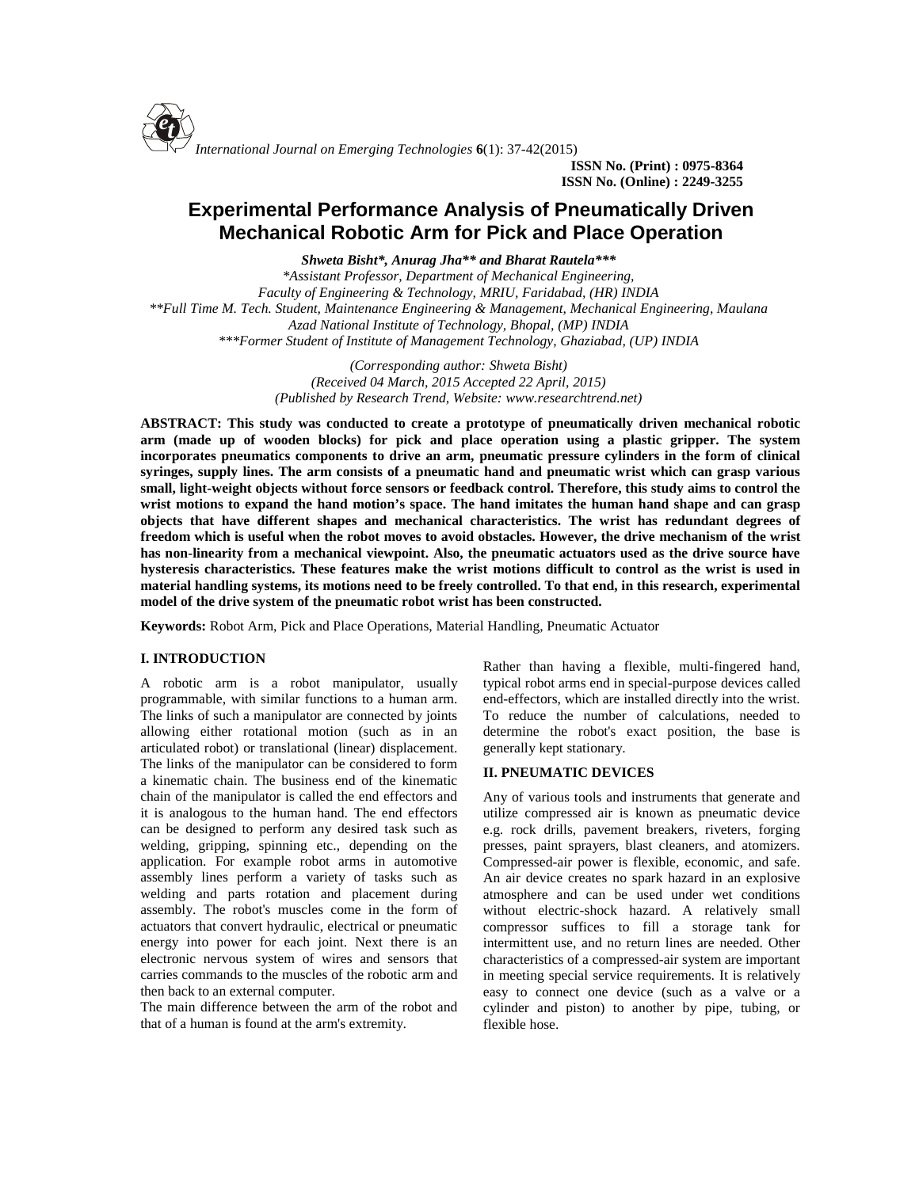

**ISSN No. (Print) : 0975-8364 ISSN No. (Online) : 2249-3255**

# **Experimental Performance Analysis of Pneumatically Driven Mechanical Robotic Arm for Pick and Place Operation**

*Shweta Bisht\*, Anurag Jha\*\* and Bharat Rautela\*\*\**

*\*Assistant Professor, Department of Mechanical Engineering, Faculty of Engineering & Technology, MRIU, Faridabad, (HR) INDIA \*\*Full Time M. Tech. Student, Maintenance Engineering & Management, Mechanical Engineering, Maulana Azad National Institute of Technology, Bhopal, (MP) INDIA \*\*\*Former Student of Institute of Management Technology, Ghaziabad, (UP) INDIA*

> *(Corresponding author: Shweta Bisht) (Received 04 March, 2015 Accepted 22 April, 2015) (Published by Research Trend, Website: [www.researchtrend.net\)](www.researchtrend.net)*

**ABSTRACT: This study was conducted to create a prototype of pneumatically driven mechanical robotic arm (made up of wooden blocks) for pick and place operation using a plastic gripper. The system incorporates pneumatics components to drive an arm, pneumatic pressure cylinders in the form of clinical syringes, supply lines. The arm consists of a pneumatic hand and pneumatic wrist which can grasp various small, light-weight objects without force sensors or feedback control. Therefore, this study aims to control the wrist motions to expand the hand motion's space. The hand imitates the human hand shape and can grasp objects that have different shapes and mechanical characteristics. The wrist has redundant degrees of freedom which is useful when the robot moves to avoid obstacles. However, the drive mechanism of the wrist has non-linearity from a mechanical viewpoint. Also, the pneumatic actuators used as the drive source have hysteresis characteristics. These features make the wrist motions difficult to control as the wrist is used in material handling systems, its motions need to be freely controlled. To that end, in this research, experimental model of the drive system of the pneumatic robot wrist has been constructed.**

**Keywords:** Robot Arm, Pick and Place Operations, Material Handling, Pneumatic Actuator

## **I. INTRODUCTION**

A robotic arm is a robot manipulator, usually programmable, with similar functions to a human arm. The links of such a manipulator are connected by joints allowing either rotational motion (such as in an articulated robot) or translational (linear) displacement. The links of the manipulator can be considered to form a kinematic chain. The business end of the kinematic chain of the manipulator is called the end effectors and it is analogous to the human hand. The end effectors can be designed to perform any desired task such as welding, gripping, spinning etc., depending on the application. For example robot arms in automotive assembly lines perform a variety of tasks such as welding and parts rotation and placement during assembly. The robot's muscles come in the form of actuators that convert hydraulic, electrical or pneumatic energy into power for each joint. Next there is an electronic nervous system of wires and sensors that carries commands to the muscles of the robotic arm and then back to an external computer.

The main difference between the arm of the robot and that of a human is found at the arm's extremity.

Rather than having a flexible, multi-fingered hand, typical robot arms end in special-purpose devices called end-effectors, which are installed directly into the wrist. To reduce the number of calculations, needed to determine the robot's exact position, the base is generally kept stationary.

### **II. PNEUMATIC DEVICES**

Any of various tools and instruments that generate and utilize compressed air is known as pneumatic device e.g. rock drills, pavement breakers, riveters, forging presses, paint sprayers, blast cleaners, and atomizers. Compressed-air power is flexible, economic, and safe. An air device creates no spark hazard in an explosive atmosphere and can be used under wet conditions without electric-shock hazard. A relatively small compressor suffices to fill a storage tank for intermittent use, and no return lines are needed. Other characteristics of a compressed-air system are important in meeting special service requirements. It is relatively easy to connect one device (such as a valve or a cylinder and piston) to another by pipe, tubing, or flexible hose.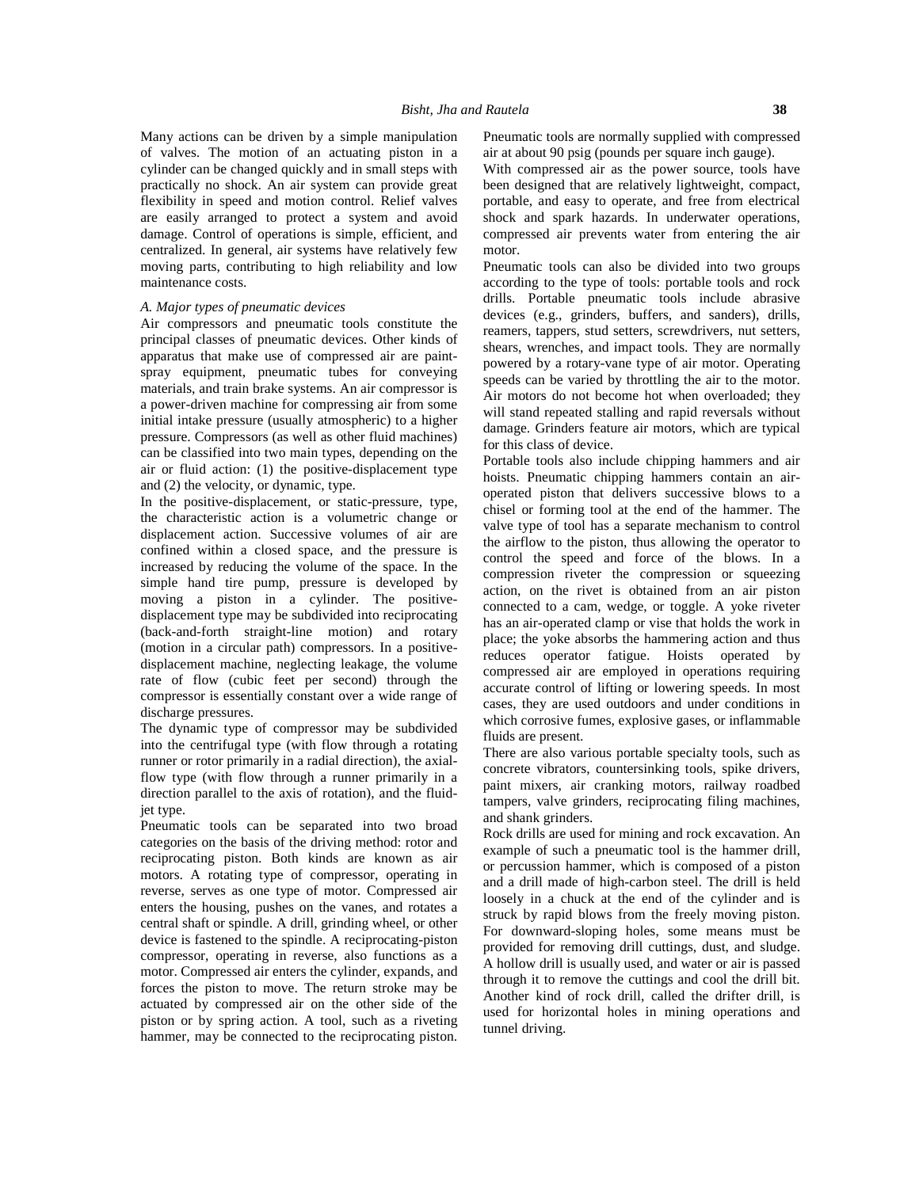Many actions can be driven by a simple manipulation of valves. The motion of an actuating piston in a cylinder can be changed quickly and in small steps with practically no shock. An air system can provide great flexibility in speed and motion control. Relief valves are easily arranged to protect a system and avoid damage. Control of operations is simple, efficient, and centralized. In general, air systems have relatively few moving parts, contributing to high reliability and low maintenance costs.

### *A. Major types of pneumatic devices*

Air compressors and pneumatic tools constitute the principal classes of pneumatic devices. Other kinds of apparatus that make use of compressed air are paint spray equipment, pneumatic tubes for conveying materials, and train brake systems. An air compressor is a power-driven machine for compressing air from some initial intake pressure (usually atmospheric) to a higher pressure. Compressors (as well as other fluid machines) can be classified into two main types, depending on the air or fluid action: (1) the positive-displacement type and (2) the velocity, or dynamic, type.

In the positive-displacement, or static-pressure, type, the characteristic action is a volumetric change or displacement action. Successive volumes of air are confined within a closed space, and the pressure is increased by reducing the volume of the space. In the simple hand tire pump, pressure is developed by moving a piston in a cylinder. The positive displacement type may be subdivided into reciprocating (back-and-forth straight-line motion) and rotary (motion in a circular path) compressors. In a positive displacement machine, neglecting leakage, the volume rate of flow (cubic feet per second) through the compressor is essentially constant over a wide range of discharge pressures.

The dynamic type of compressor may be subdivided into the centrifugal type (with flow through a rotating runner or rotor primarily in a radial direction), the axialflow type (with flow through a runner primarily in a direction parallel to the axis of rotation), and the fluidjet type.

Pneumatic tools can be separated into two broad categories on the basis of the driving method: rotor and reciprocating piston. Both kinds are known as air motors. A rotating type of compressor, operating in reverse, serves as one type of motor. Compressed air enters the housing, pushes on the vanes, and rotates a central shaft or spindle. A drill, grinding wheel, or other device is fastened to the spindle. A reciprocating-piston compressor, operating in reverse, also functions as a motor. Compressed air enters the cylinder, expands, and forces the piston to move. The return stroke may be actuated by compressed air on the other side of the piston or by spring action. A tool, such as a riveting hammer, may be connected to the reciprocating piston.

Pneumatic tools are normally supplied with compressed air at about 90 psig (pounds per square inch gauge).

With compressed air as the power source, tools have been designed that are relatively lightweight, compact, portable, and easy to operate, and free from electrical shock and spark hazards. In underwater operations, compressed air prevents water from entering the air motor.

Pneumatic tools can also be divided into two groups according to the type of tools: portable tools and rock drills. Portable pneumatic tools include abrasive devices (e.g., grinders, buffers, and sanders), drills, reamers, tappers, stud setters, screwdrivers, nut setters, shears, wrenches, and impact tools. They are normally powered by a rotary-vane type of air motor. Operating speeds can be varied by throttling the air to the motor. Air motors do not become hot when overloaded; they will stand repeated stalling and rapid reversals without damage. Grinders feature air motors, which are typical for this class of device.

Portable tools also include chipping hammers and air hoists. Pneumatic chipping hammers contain an air operated piston that delivers successive blows to a chisel or forming tool at the end of the hammer. The valve type of tool has a separate mechanism to control the airflow to the piston, thus allowing the operator to control the speed and force of the blows. In a compression riveter the compression or squeezing action, on the rivet is obtained from an air piston connected to a cam, wedge, or toggle. A yoke riveter has an air-operated clamp or vise that holds the work in place; the yoke absorbs the hammering action and thus reduces operator fatigue. Hoists operated by compressed air are employed in operations requiring accurate control of lifting or lowering speeds. In most cases, they are used outdoors and under conditions in which corrosive fumes, explosive gases, or inflammable fluids are present.

There are also various portable specialty tools, such as concrete vibrators, countersinking tools, spike drivers, paint mixers, air cranking motors, railway roadbed tampers, valve grinders, reciprocating filing machines, and shank grinders.

Rock drills are used for mining and rock excavation. An example of such a pneumatic tool is the hammer drill, or percussion hammer, which is composed of a piston and a drill made of high-carbon steel. The drill is held loosely in a chuck at the end of the cylinder and is struck by rapid blows from the freely moving piston. For downward-sloping holes, some means must be provided for removing drill cuttings, dust, and sludge. A hollow drill is usually used, and water or air is passed through it to remove the cuttings and cool the drill bit. Another kind of rock drill, called the drifter drill, is used for horizontal holes in mining operations and tunnel driving.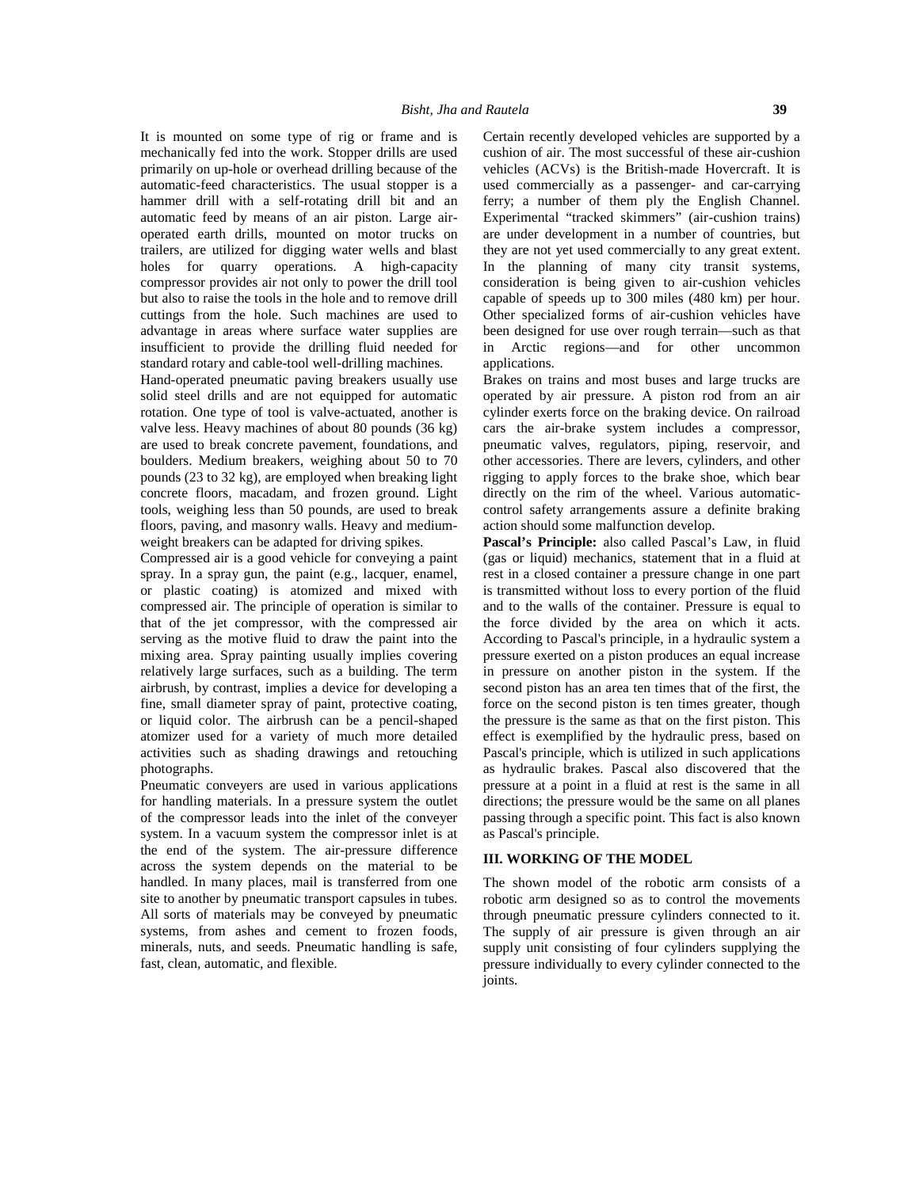It is mounted on some type of rig or frame and is mechanically fed into the work. Stopper drills are used primarily on up-hole or overhead drilling because of the automatic-feed characteristics. The usual stopper is a hammer drill with a self-rotating drill bit and an automatic feed by means of an air piston. Large air operated earth drills, mounted on motor trucks on trailers, are utilized for digging water wells and blast holes for quarry operations. A high-capacity compressor provides air not only to power the drill tool but also to raise the tools in the hole and to remove drill cuttings from the hole. Such machines are used to advantage in areas where surface water supplies are insufficient to provide the drilling fluid needed for standard rotary and cable-tool well-drilling machines.

Hand-operated pneumatic paving breakers usually use solid steel drills and are not equipped for automatic rotation. One type of tool is valve-actuated, another is valve less. Heavy machines of about 80 pounds (36 kg) are used to break concrete pavement, foundations, and boulders. Medium breakers, weighing about 50 to 70 pounds (23 to 32 kg), are employed when breaking light concrete floors, macadam, and frozen ground. Light tools, weighing less than 50 pounds, are used to break floors, paving, and masonry walls. Heavy and medium weight breakers can be adapted for driving spikes.

Compressed air is a good vehicle for conveying a paint spray. In a spray gun, the paint (e.g., lacquer, enamel, or plastic coating) is atomized and mixed with compressed air. The principle of operation is similar to that of the jet compressor, with the compressed air serving as the motive fluid to draw the paint into the mixing area. Spray painting usually implies covering relatively large surfaces, such as a building. The term airbrush, by contrast, implies a device for developing a fine, small diameter spray of paint, protective coating, or liquid color. The airbrush can be a pencil-shaped atomizer used for a variety of much more detailed activities such as shading drawings and retouching photographs.

Pneumatic conveyers are used in various applications for handling materials. In a pressure system the outlet of the compressor leads into the inlet of the conveyer system. In a vacuum system the compressor inlet is at the end of the system. The air-pressure difference across the system depends on the material to be handled. In many places, mail is transferred from one site to another by pneumatic transport capsules in tubes. All sorts of materials may be conveyed by pneumatic systems, from ashes and cement to frozen foods, minerals, nuts, and seeds. Pneumatic handling is safe, fast, clean, automatic, and flexible.

Certain recently developed vehicles are supported by a cushion of air. The most successful of these air-cushion vehicles (ACVs) is the British-made Hovercraft. It is used commercially as a passenger- and car-carrying ferry; a number of them ply the English Channel. Experimental "tracked skimmers" (air-cushion trains) are under development in a number of countries, but they are not yet used commercially to any great extent. In the planning of many city transit systems, consideration is being given to air-cushion vehicles capable of speeds up to 300 miles (480 km) per hour. Other specialized forms of air-cushion vehicles have been designed for use over rough terrain—such as that Arctic regions—and for other uncommon applications.

Brakes on trains and most buses and large trucks are operated by air pressure. A piston rod from an air cylinder exerts force on the braking device. On railroad cars the air-brake system includes a compressor, pneumatic valves, regulators, piping, reservoir, and other accessories. There are levers, cylinders, and other rigging to apply forces to the brake shoe, which bear directly on the rim of the wheel. Various automatic control safety arrangements assure a definite braking action should some malfunction develop.

**Pascal's Principle:** also called Pascal's Law, in fluid (gas or liquid) mechanics, statement that in a fluid at rest in a closed container a pressure change in one part is transmitted without loss to every portion of the fluid and to the walls of the container. Pressure is equal to the force divided by the area on which it acts. According to Pascal's principle, in a hydraulic system a pressure exerted on a piston produces an equal increase in pressure on another piston in the system. If the second piston has an area ten times that of the first, the force on the second piston is ten times greater, though the pressure is the same as that on the first piston. This effect is exemplified by the hydraulic press, based on Pascal's principle, which is utilized in such applications as hydraulic brakes. Pascal also discovered that the pressure at a point in a fluid at rest is the same in all directions; the pressure would be the same on all planes passing through a specific point. This fact is also known as Pascal's principle.

#### **III. WORKING OF THE MODEL**

The shown model of the robotic arm consists of a robotic arm designed so as to control the movements through pneumatic pressure cylinders connected to it. The supply of air pressure is given through an air supply unit consisting of four cylinders supplying the pressure individually to every cylinder connected to the joints.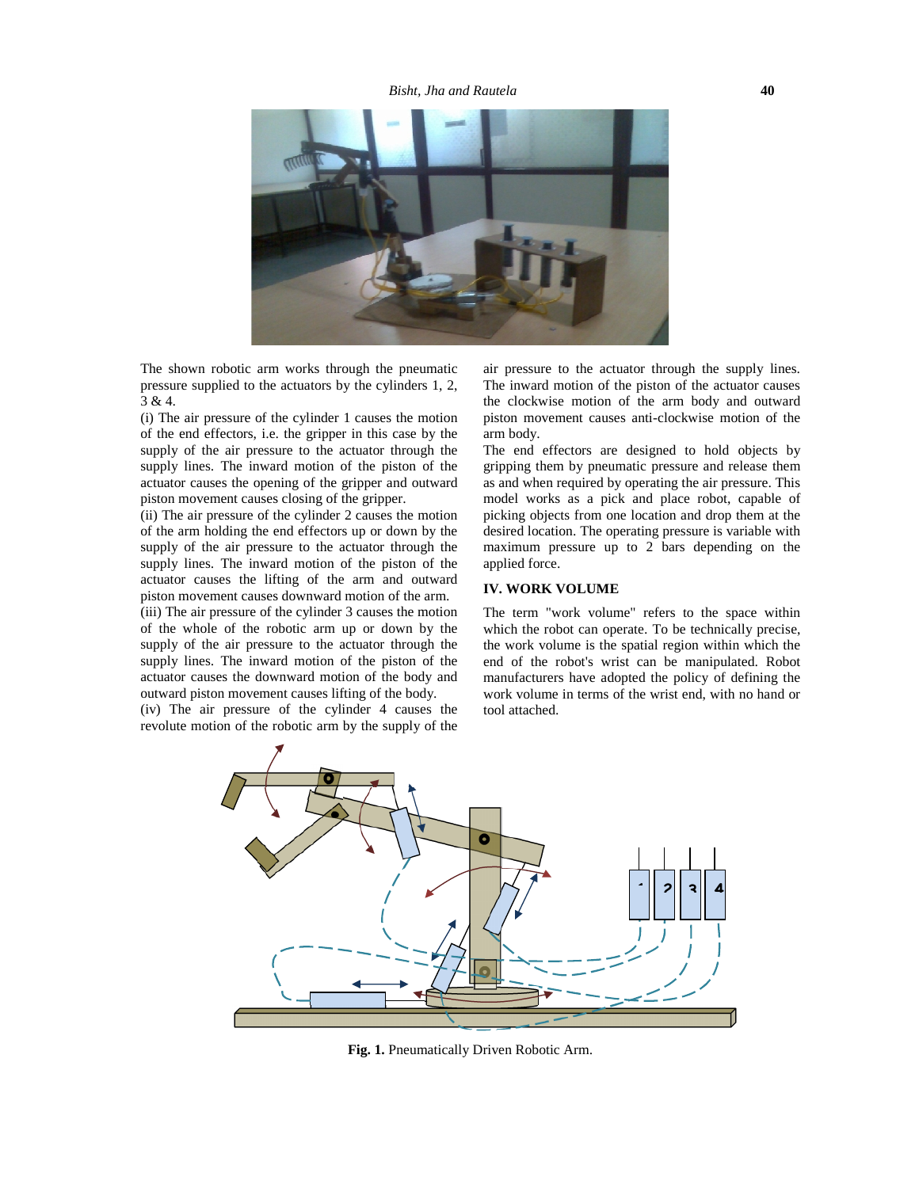

The shown robotic arm works through the pneumatic pressure supplied to the actuators by the cylinders 1, 2, 3 & 4.

(i) The air pressure of the cylinder 1 causes the motion of the end effectors, i.e. the gripper in this case by the supply of the air pressure to the actuator through the supply lines. The inward motion of the piston of the actuator causes the opening of the gripper and outward piston movement causes closing of the gripper.

(ii) The air pressure of the cylinder 2 causes the motion of the arm holding the end effectors up or down by the supply of the air pressure to the actuator through the supply lines. The inward motion of the piston of the actuator causes the lifting of the arm and outward piston movement causes downward motion of the arm.

(iii) The air pressure of the cylinder 3 causes the motion of the whole of the robotic arm up or down by the supply of the air pressure to the actuator through the supply lines. The inward motion of the piston of the actuator causes the downward motion of the body and outward piston movement causes lifting of the body.

(iv) The air pressure of the cylinder 4 causes the revolute motion of the robotic arm by the supply of the

air pressure to the actuator through the supply lines. The inward motion of the piston of the actuator causes the clockwise motion of the arm body and outward piston movement causes anti-clockwise motion of the arm body.

The end effectors are designed to hold objects by gripping them by pneumatic pressure and release them as and when required by operating the air pressure. This model works as a pick and place robot, capable of picking objects from one location and drop them at the desired location. The operating pressure is variable with maximum pressure up to 2 bars depending on the applied force.

### **IV. WORK VOLUME**

The term "work volume" refers to the space within which the robot can operate. To be technically precise, the work volume is the spatial region within which the end of the robot's wrist can be manipulated. Robot manufacturers have adopted the policy of defining the work volume in terms of the wrist end, with no hand or tool attached.



**Fig. 1.** Pneumatically Driven Robotic Arm.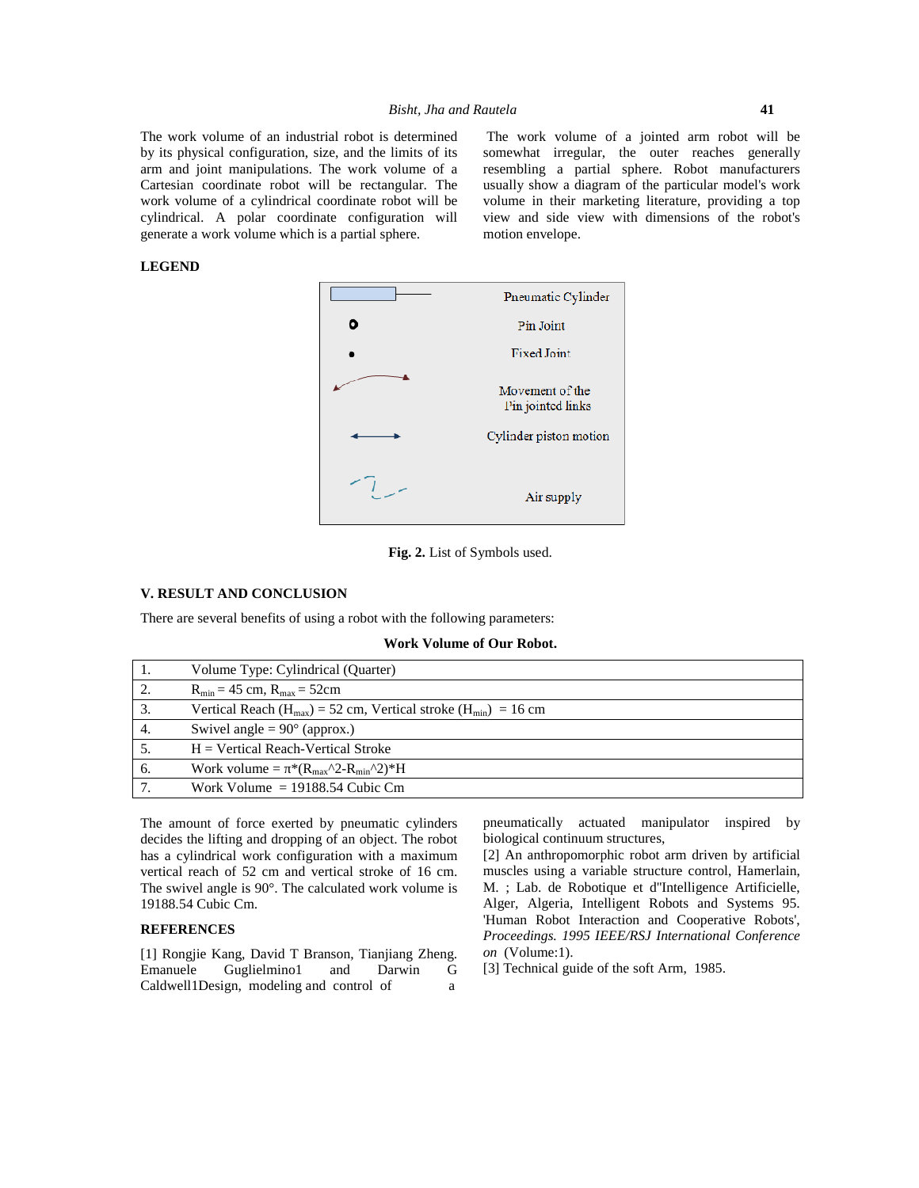The work volume of an industrial robot is determined by its physical configuration, size, and the limits of its arm and joint manipulations. The work volume of a Cartesian coordinate robot will be rectangular. The work volume of a cylindrical coordinate robot will be cylindrical. A polar coordinate configuration will generate a work volume which is a partial sphere.

The work volume of a jointed arm robot will be somewhat irregular, the outer reaches generally resembling a partial sphere. Robot manufacturers usually show a diagram of the particular model's work volume in their marketing literature, providing a top view and side view with dimensions of the robot's motion envelope.

## **LEGEND**



**Fig. 2.** List of Symbols used.

#### **V. RESULT AND CONCLUSION**

There are several benefits of using a robot with the following parameters:

**Work Volume of Our Robot.**

| -1. | Volume Type: Cylindrical (Quarter)                                          |
|-----|-----------------------------------------------------------------------------|
| 2.  | $R_{\min}$ = 45 cm, $R_{\max}$ = 52cm                                       |
| 3.  | Vertical Reach ( $H_{max}$ ) = 52 cm, Vertical stroke ( $H_{min}$ ) = 16 cm |
| 4.  | Swivel angle $= 90^{\circ}$ (approx.)                                       |
|     | $H = V$ ertical Reach-Vertical Stroke                                       |
| 6.  | Work volume = $*(R_{max}^{\prime\prime}2-R_{min}^{\prime\prime\prime})*H$   |
| 7   | Work Volume $= 19188.54$ Cubic Cm                                           |
|     |                                                                             |

The amount of force exerted by pneumatic cylinders decides the lifting and dropping of an object. The robot has a cylindrical work configuration with a maximum vertical reach of 52 cm and vertical stroke of 16 cm. The swivel angle is 90°. The calculated work volume is 19188.54 Cubic Cm.

## **REFERENCES**

[1] Rongjie Kang, David T Branson, Tianjiang Zheng. Emanuele Guglielmino1 and Darwin G Caldwell1Design, modeling and control of a

pneumatically actuated manipulator inspired by biological continuum structures,

[2] An anthropomorphic robot arm driven by artificial muscles using a variable structure control, Hamerlain, M. ; Lab. de Robotique et d''Intelligence Artificielle, Alger, Algeria, Intelligent Robots and Systems 95. 'Human Robot Interaction and Cooperative Robots', *Proceedings. 1995 IEEE/RSJ International Conference on* (Volume:1).

[3] Technical guide of the soft Arm, 1985.